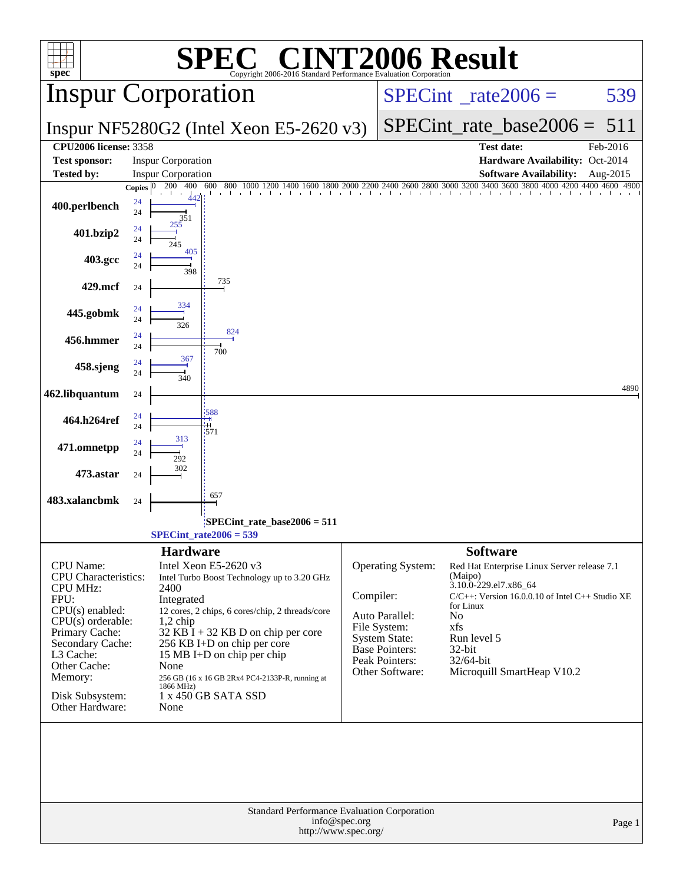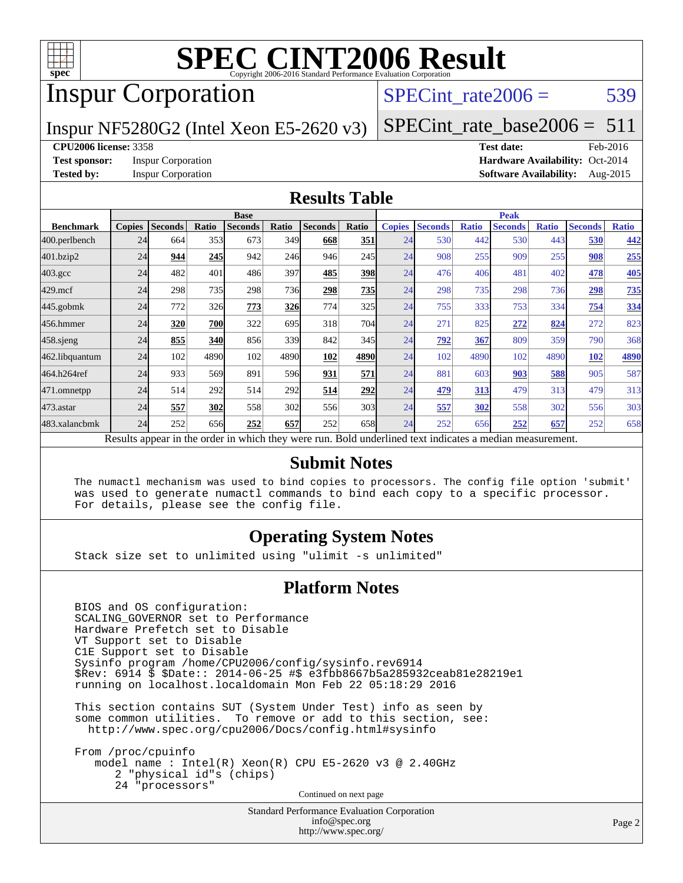

# Inspur Corporation

SPECint rate $2006 = 539$ 

### Inspur NF5280G2 (Intel Xeon E5-2620 v3)

[SPECint\\_rate\\_base2006 =](http://www.spec.org/auto/cpu2006/Docs/result-fields.html#SPECintratebase2006)  $511$ 

#### **[CPU2006 license:](http://www.spec.org/auto/cpu2006/Docs/result-fields.html#CPU2006license)** 3358 **[Test date:](http://www.spec.org/auto/cpu2006/Docs/result-fields.html#Testdate)** Feb-2016

**[Test sponsor:](http://www.spec.org/auto/cpu2006/Docs/result-fields.html#Testsponsor)** Inspur Corporation **[Hardware Availability:](http://www.spec.org/auto/cpu2006/Docs/result-fields.html#HardwareAvailability)** Oct-2014 **[Tested by:](http://www.spec.org/auto/cpu2006/Docs/result-fields.html#Testedby)** Inspur Corporation **[Software Availability:](http://www.spec.org/auto/cpu2006/Docs/result-fields.html#SoftwareAvailability)** Aug-2015

#### **[Results Table](http://www.spec.org/auto/cpu2006/Docs/result-fields.html#ResultsTable)**

|                    |               |                |            | <b>Base</b>    |       |                                                                                                          |       |               |                |              | <b>Peak</b>    |              |                |              |
|--------------------|---------------|----------------|------------|----------------|-------|----------------------------------------------------------------------------------------------------------|-------|---------------|----------------|--------------|----------------|--------------|----------------|--------------|
| <b>Benchmark</b>   | <b>Copies</b> | <b>Seconds</b> | Ratio      | <b>Seconds</b> | Ratio | <b>Seconds</b>                                                                                           | Ratio | <b>Copies</b> | <b>Seconds</b> | <b>Ratio</b> | <b>Seconds</b> | <b>Ratio</b> | <b>Seconds</b> | <b>Ratio</b> |
| 400.perlbench      | 24            | 664            | 353        | 673            | 349I  | 668                                                                                                      | 351   | 24            | 530            | 442          | 530            | 443          | 530            | 442          |
| 401.bzip2          | 24            | 944            | 245        | 942            | 246   | 946                                                                                                      | 245   | 24            | 908            | 255          | 909            | 255          | 908            | 255          |
| $403.\mathrm{gcc}$ | 24            | 482            | 401        | 486            | 397   | 485                                                                                                      | 398   | 24            | 476            | 406          | 481            | 402          | 478            | 405          |
| $429$ .mcf         | 24            | 298            | 735        | 298            | 736I  | 298                                                                                                      | 735   | 24            | 298            | 735          | 298            | 736          | 298            | 735          |
| $445$ .gobmk       | 24            | 772            | 326        | 773            | 326   | 774                                                                                                      | 325   | 24            | 755            | 333          | 753            | 334          | 754            | 334          |
| 456.hmmer          | 24            | 320            | 700        | 322            | 695   | 318                                                                                                      | 704   | 24            | 271            | 825          | 272            | 824          | 272            | 823          |
| $458$ .sjeng       | 24            | 855            | <b>340</b> | 856            | 339   | 842                                                                                                      | 345   | 24            | 792            | 367          | 809            | 359          | 790            | 368          |
| 462.libquantum     | 24            | 102            | 4890       | 102            | 4890  | 102                                                                                                      | 4890  | 24            | 102            | 4890         | 102            | 4890         | 102            | 4890         |
| 464.h264ref        | 24            | 933            | 569        | 891            | 596   | 931                                                                                                      | 571   | 24            | 881            | 603          | 903            | 588          | 905            | 587          |
| 471.omnetpp        | 24            | 514            | 292        | 514            | 292   | 514                                                                                                      | 292   | 24            | 479            | 313          | 479            | 313          | 479            | 313          |
| 473.astar          | 24            | 557            | 302        | 558            | 302   | 556                                                                                                      | 303   | 24            | 557            | 302          | 558            | 302          | 556            | 303          |
| 483.xalancbmk      | 24            | 252            | 656        | 252            | 657   | 252                                                                                                      | 658   | 24            | 252            | 656          | 252            | 657          | 252            | 658          |
|                    |               |                |            |                |       | Results appear in the order in which they were run. Bold underlined text indicates a median measurement. |       |               |                |              |                |              |                |              |

### **[Submit Notes](http://www.spec.org/auto/cpu2006/Docs/result-fields.html#SubmitNotes)**

 The numactl mechanism was used to bind copies to processors. The config file option 'submit' was used to generate numactl commands to bind each copy to a specific processor. For details, please see the config file.

### **[Operating System Notes](http://www.spec.org/auto/cpu2006/Docs/result-fields.html#OperatingSystemNotes)**

Stack size set to unlimited using "ulimit -s unlimited"

#### **[Platform Notes](http://www.spec.org/auto/cpu2006/Docs/result-fields.html#PlatformNotes)**

 BIOS and OS configuration: SCALING\_GOVERNOR set to Performance Hardware Prefetch set to Disable VT Support set to Disable C1E Support set to Disable Sysinfo program /home/CPU2006/config/sysinfo.rev6914 \$Rev: 6914 \$ \$Date:: 2014-06-25 #\$ e3fbb8667b5a285932ceab81e28219e1 running on localhost.localdomain Mon Feb 22 05:18:29 2016

 This section contains SUT (System Under Test) info as seen by some common utilities. To remove or add to this section, see: <http://www.spec.org/cpu2006/Docs/config.html#sysinfo>

 From /proc/cpuinfo model name : Intel(R) Xeon(R) CPU E5-2620 v3 @ 2.40GHz 2 "physical id"s (chips) 24 "processors" Continued on next page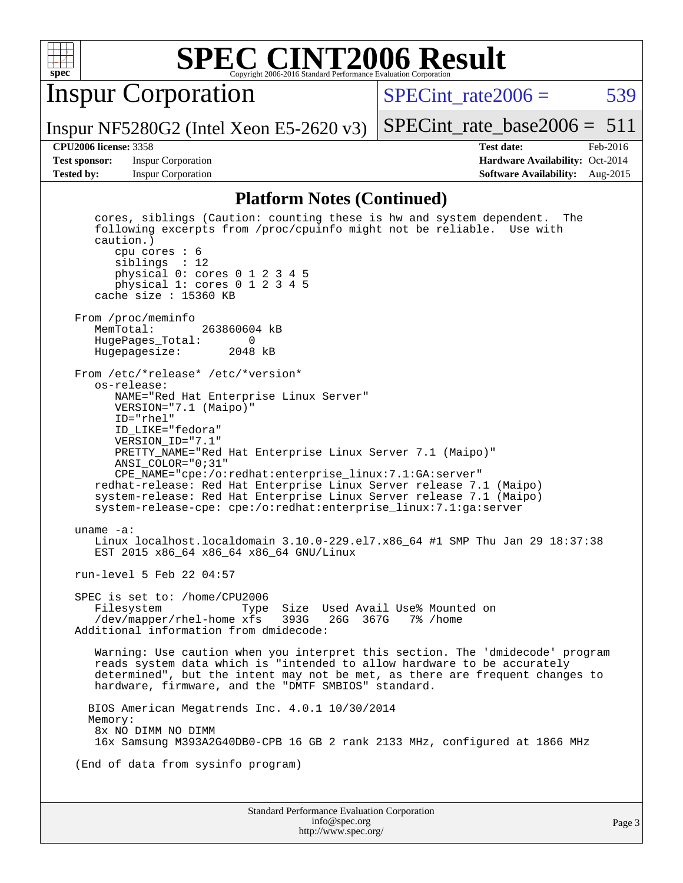

Inspur Corporation

Inspur NF5280G2 (Intel Xeon E5-2620 v3)

SPECint rate $2006 = 539$ 

[SPECint\\_rate\\_base2006 =](http://www.spec.org/auto/cpu2006/Docs/result-fields.html#SPECintratebase2006)  $511$ 

**[Test sponsor:](http://www.spec.org/auto/cpu2006/Docs/result-fields.html#Testsponsor)** Inspur Corporation **[Hardware Availability:](http://www.spec.org/auto/cpu2006/Docs/result-fields.html#HardwareAvailability)** Oct-2014

**[CPU2006 license:](http://www.spec.org/auto/cpu2006/Docs/result-fields.html#CPU2006license)** 3358 **[Test date:](http://www.spec.org/auto/cpu2006/Docs/result-fields.html#Testdate)** Feb-2016 **[Tested by:](http://www.spec.org/auto/cpu2006/Docs/result-fields.html#Testedby)** Inspur Corporation **[Software Availability:](http://www.spec.org/auto/cpu2006/Docs/result-fields.html#SoftwareAvailability)** Aug-2015

#### **[Platform Notes \(Continued\)](http://www.spec.org/auto/cpu2006/Docs/result-fields.html#PlatformNotes)**

Standard Performance Evaluation Corporation [info@spec.org](mailto:info@spec.org) Page 3 cores, siblings (Caution: counting these is hw and system dependent. The following excerpts from /proc/cpuinfo might not be reliable. Use with caution.) cpu cores : 6 siblings : 12 physical 0: cores 0 1 2 3 4 5 physical 1: cores 0 1 2 3 4 5 cache size : 15360 KB From /proc/meminfo<br>MemTotal: 263860604 kB HugePages\_Total: 0 Hugepagesize: 2048 kB From /etc/\*release\* /etc/\*version\* os-release: NAME="Red Hat Enterprise Linux Server" VERSION="7.1 (Maipo)" ID="rhel" ID\_LIKE="fedora" VERSION\_ID="7.1" PRETTY\_NAME="Red Hat Enterprise Linux Server 7.1 (Maipo)" ANSI\_COLOR="0;31" CPE\_NAME="cpe:/o:redhat:enterprise\_linux:7.1:GA:server" redhat-release: Red Hat Enterprise Linux Server release 7.1 (Maipo) system-release: Red Hat Enterprise Linux Server release 7.1 (Maipo) system-release-cpe: cpe:/o:redhat:enterprise\_linux:7.1:ga:server uname -a: Linux localhost.localdomain 3.10.0-229.el7.x86\_64 #1 SMP Thu Jan 29 18:37:38 EST 2015 x86\_64 x86\_64 x86\_64 GNU/Linux run-level 5 Feb 22 04:57 SPEC is set to: /home/CPU2006 Filesystem Type Size Used Avail Use% Mounted on /dev/mapper/rhel-home xfs 393G 26G 367G 7% /home Additional information from dmidecode: Warning: Use caution when you interpret this section. The 'dmidecode' program reads system data which is "intended to allow hardware to be accurately determined", but the intent may not be met, as there are frequent changes to hardware, firmware, and the "DMTF SMBIOS" standard. BIOS American Megatrends Inc. 4.0.1 10/30/2014 Memory: 8x NO DIMM NO DIMM 16x Samsung M393A2G40DB0-CPB 16 GB 2 rank 2133 MHz, configured at 1866 MHz (End of data from sysinfo program)

<http://www.spec.org/>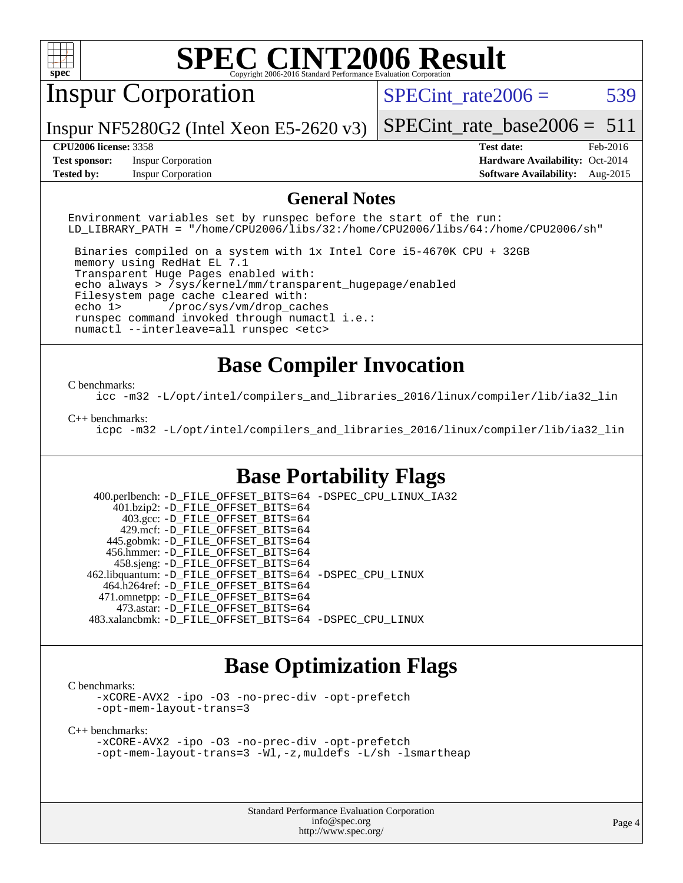

# Inspur Corporation

SPECint rate $2006 = 539$ 

Inspur NF5280G2 (Intel Xeon E5-2620 v3)

[SPECint\\_rate\\_base2006 =](http://www.spec.org/auto/cpu2006/Docs/result-fields.html#SPECintratebase2006)  $511$ 

**[Test sponsor:](http://www.spec.org/auto/cpu2006/Docs/result-fields.html#Testsponsor)** Inspur Corporation **[Hardware Availability:](http://www.spec.org/auto/cpu2006/Docs/result-fields.html#HardwareAvailability)** Oct-2014

**[CPU2006 license:](http://www.spec.org/auto/cpu2006/Docs/result-fields.html#CPU2006license)** 3358 **[Test date:](http://www.spec.org/auto/cpu2006/Docs/result-fields.html#Testdate)** Feb-2016 **[Tested by:](http://www.spec.org/auto/cpu2006/Docs/result-fields.html#Testedby)** Inspur Corporation **[Software Availability:](http://www.spec.org/auto/cpu2006/Docs/result-fields.html#SoftwareAvailability)** Aug-2015

#### **[General Notes](http://www.spec.org/auto/cpu2006/Docs/result-fields.html#GeneralNotes)**

Environment variables set by runspec before the start of the run: LD\_LIBRARY\_PATH = "/home/CPU2006/libs/32:/home/CPU2006/libs/64:/home/CPU2006/sh"

 Binaries compiled on a system with 1x Intel Core i5-4670K CPU + 32GB memory using RedHat EL 7.1 Transparent Huge Pages enabled with: echo always > /sys/kernel/mm/transparent\_hugepage/enabled Filesystem page cache cleared with: echo 1> /proc/sys/vm/drop\_caches runspec command invoked through numactl i.e.: numactl --interleave=all runspec <etc>

## **[Base Compiler Invocation](http://www.spec.org/auto/cpu2006/Docs/result-fields.html#BaseCompilerInvocation)**

#### [C benchmarks](http://www.spec.org/auto/cpu2006/Docs/result-fields.html#Cbenchmarks):

[icc -m32 -L/opt/intel/compilers\\_and\\_libraries\\_2016/linux/compiler/lib/ia32\\_lin](http://www.spec.org/cpu2006/results/res2016q1/cpu2006-20160307-39062.flags.html#user_CCbase_intel_icc_e10256ba5924b668798078a321b0cb3f)

#### [C++ benchmarks:](http://www.spec.org/auto/cpu2006/Docs/result-fields.html#CXXbenchmarks)

[icpc -m32 -L/opt/intel/compilers\\_and\\_libraries\\_2016/linux/compiler/lib/ia32\\_lin](http://www.spec.org/cpu2006/results/res2016q1/cpu2006-20160307-39062.flags.html#user_CXXbase_intel_icpc_b4f50a394bdb4597aa5879c16bc3f5c5)

### **[Base Portability Flags](http://www.spec.org/auto/cpu2006/Docs/result-fields.html#BasePortabilityFlags)**

 400.perlbench: [-D\\_FILE\\_OFFSET\\_BITS=64](http://www.spec.org/cpu2006/results/res2016q1/cpu2006-20160307-39062.flags.html#user_basePORTABILITY400_perlbench_file_offset_bits_64_438cf9856305ebd76870a2c6dc2689ab) [-DSPEC\\_CPU\\_LINUX\\_IA32](http://www.spec.org/cpu2006/results/res2016q1/cpu2006-20160307-39062.flags.html#b400.perlbench_baseCPORTABILITY_DSPEC_CPU_LINUX_IA32) 401.bzip2: [-D\\_FILE\\_OFFSET\\_BITS=64](http://www.spec.org/cpu2006/results/res2016q1/cpu2006-20160307-39062.flags.html#user_basePORTABILITY401_bzip2_file_offset_bits_64_438cf9856305ebd76870a2c6dc2689ab) 403.gcc: [-D\\_FILE\\_OFFSET\\_BITS=64](http://www.spec.org/cpu2006/results/res2016q1/cpu2006-20160307-39062.flags.html#user_basePORTABILITY403_gcc_file_offset_bits_64_438cf9856305ebd76870a2c6dc2689ab) 429.mcf: [-D\\_FILE\\_OFFSET\\_BITS=64](http://www.spec.org/cpu2006/results/res2016q1/cpu2006-20160307-39062.flags.html#user_basePORTABILITY429_mcf_file_offset_bits_64_438cf9856305ebd76870a2c6dc2689ab) 445.gobmk: [-D\\_FILE\\_OFFSET\\_BITS=64](http://www.spec.org/cpu2006/results/res2016q1/cpu2006-20160307-39062.flags.html#user_basePORTABILITY445_gobmk_file_offset_bits_64_438cf9856305ebd76870a2c6dc2689ab) 456.hmmer: [-D\\_FILE\\_OFFSET\\_BITS=64](http://www.spec.org/cpu2006/results/res2016q1/cpu2006-20160307-39062.flags.html#user_basePORTABILITY456_hmmer_file_offset_bits_64_438cf9856305ebd76870a2c6dc2689ab) 458.sjeng: [-D\\_FILE\\_OFFSET\\_BITS=64](http://www.spec.org/cpu2006/results/res2016q1/cpu2006-20160307-39062.flags.html#user_basePORTABILITY458_sjeng_file_offset_bits_64_438cf9856305ebd76870a2c6dc2689ab) 462.libquantum: [-D\\_FILE\\_OFFSET\\_BITS=64](http://www.spec.org/cpu2006/results/res2016q1/cpu2006-20160307-39062.flags.html#user_basePORTABILITY462_libquantum_file_offset_bits_64_438cf9856305ebd76870a2c6dc2689ab) [-DSPEC\\_CPU\\_LINUX](http://www.spec.org/cpu2006/results/res2016q1/cpu2006-20160307-39062.flags.html#b462.libquantum_baseCPORTABILITY_DSPEC_CPU_LINUX) 464.h264ref: [-D\\_FILE\\_OFFSET\\_BITS=64](http://www.spec.org/cpu2006/results/res2016q1/cpu2006-20160307-39062.flags.html#user_basePORTABILITY464_h264ref_file_offset_bits_64_438cf9856305ebd76870a2c6dc2689ab) 471.omnetpp: [-D\\_FILE\\_OFFSET\\_BITS=64](http://www.spec.org/cpu2006/results/res2016q1/cpu2006-20160307-39062.flags.html#user_basePORTABILITY471_omnetpp_file_offset_bits_64_438cf9856305ebd76870a2c6dc2689ab) 473.astar: [-D\\_FILE\\_OFFSET\\_BITS=64](http://www.spec.org/cpu2006/results/res2016q1/cpu2006-20160307-39062.flags.html#user_basePORTABILITY473_astar_file_offset_bits_64_438cf9856305ebd76870a2c6dc2689ab) 483.xalancbmk: [-D\\_FILE\\_OFFSET\\_BITS=64](http://www.spec.org/cpu2006/results/res2016q1/cpu2006-20160307-39062.flags.html#user_basePORTABILITY483_xalancbmk_file_offset_bits_64_438cf9856305ebd76870a2c6dc2689ab) [-DSPEC\\_CPU\\_LINUX](http://www.spec.org/cpu2006/results/res2016q1/cpu2006-20160307-39062.flags.html#b483.xalancbmk_baseCXXPORTABILITY_DSPEC_CPU_LINUX)

### **[Base Optimization Flags](http://www.spec.org/auto/cpu2006/Docs/result-fields.html#BaseOptimizationFlags)**

[C benchmarks](http://www.spec.org/auto/cpu2006/Docs/result-fields.html#Cbenchmarks):

[-xCORE-AVX2](http://www.spec.org/cpu2006/results/res2016q1/cpu2006-20160307-39062.flags.html#user_CCbase_f-xAVX2_5f5fc0cbe2c9f62c816d3e45806c70d7) [-ipo](http://www.spec.org/cpu2006/results/res2016q1/cpu2006-20160307-39062.flags.html#user_CCbase_f-ipo) [-O3](http://www.spec.org/cpu2006/results/res2016q1/cpu2006-20160307-39062.flags.html#user_CCbase_f-O3) [-no-prec-div](http://www.spec.org/cpu2006/results/res2016q1/cpu2006-20160307-39062.flags.html#user_CCbase_f-no-prec-div) [-opt-prefetch](http://www.spec.org/cpu2006/results/res2016q1/cpu2006-20160307-39062.flags.html#user_CCbase_f-opt-prefetch) [-opt-mem-layout-trans=3](http://www.spec.org/cpu2006/results/res2016q1/cpu2006-20160307-39062.flags.html#user_CCbase_f-opt-mem-layout-trans_a7b82ad4bd7abf52556d4961a2ae94d5)

[C++ benchmarks:](http://www.spec.org/auto/cpu2006/Docs/result-fields.html#CXXbenchmarks)

[-xCORE-AVX2](http://www.spec.org/cpu2006/results/res2016q1/cpu2006-20160307-39062.flags.html#user_CXXbase_f-xAVX2_5f5fc0cbe2c9f62c816d3e45806c70d7) [-ipo](http://www.spec.org/cpu2006/results/res2016q1/cpu2006-20160307-39062.flags.html#user_CXXbase_f-ipo) [-O3](http://www.spec.org/cpu2006/results/res2016q1/cpu2006-20160307-39062.flags.html#user_CXXbase_f-O3) [-no-prec-div](http://www.spec.org/cpu2006/results/res2016q1/cpu2006-20160307-39062.flags.html#user_CXXbase_f-no-prec-div) [-opt-prefetch](http://www.spec.org/cpu2006/results/res2016q1/cpu2006-20160307-39062.flags.html#user_CXXbase_f-opt-prefetch) [-opt-mem-layout-trans=3](http://www.spec.org/cpu2006/results/res2016q1/cpu2006-20160307-39062.flags.html#user_CXXbase_f-opt-mem-layout-trans_a7b82ad4bd7abf52556d4961a2ae94d5) [-Wl,-z,muldefs](http://www.spec.org/cpu2006/results/res2016q1/cpu2006-20160307-39062.flags.html#user_CXXbase_link_force_multiple1_74079c344b956b9658436fd1b6dd3a8a) [-L/sh -lsmartheap](http://www.spec.org/cpu2006/results/res2016q1/cpu2006-20160307-39062.flags.html#user_CXXbase_SmartHeap_32f6c82aa1ed9c52345d30cf6e4a0499)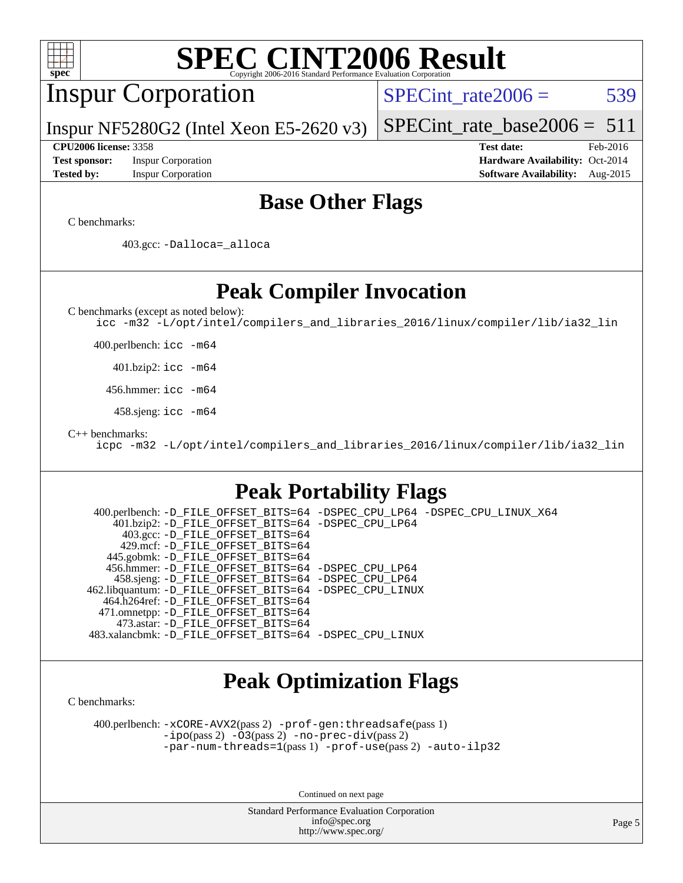| <b>SPEC CINT2006 Result</b><br>spec <sup>®</sup>                                                                                                                                                                                                                                     |                                                                                                               |
|--------------------------------------------------------------------------------------------------------------------------------------------------------------------------------------------------------------------------------------------------------------------------------------|---------------------------------------------------------------------------------------------------------------|
| <b>Inspur Corporation</b>                                                                                                                                                                                                                                                            | $SPECint rate 2006 =$<br>539                                                                                  |
| Inspur NF5280G2 (Intel Xeon E5-2620 $v3$ )                                                                                                                                                                                                                                           | $SPECint_rate_base2006 = 511$                                                                                 |
| <b>CPU2006 license: 3358</b><br><b>Test sponsor:</b><br><b>Inspur Corporation</b><br><b>Tested by:</b><br><b>Inspur Corporation</b>                                                                                                                                                  | <b>Test date:</b><br>Feb-2016<br>Hardware Availability: Oct-2014<br><b>Software Availability:</b><br>Aug-2015 |
| <b>Base Other Flags</b>                                                                                                                                                                                                                                                              |                                                                                                               |
| C benchmarks:                                                                                                                                                                                                                                                                        |                                                                                                               |
| 403.gcc: -Dalloca=_alloca                                                                                                                                                                                                                                                            |                                                                                                               |
| <b>Peak Compiler Invocation</b>                                                                                                                                                                                                                                                      |                                                                                                               |
| C benchmarks (except as noted below):<br>icc -m32 -L/opt/intel/compilers_and_libraries_2016/linux/compiler/lib/ia32_lin                                                                                                                                                              |                                                                                                               |
| 400.perlbench: icc -m64                                                                                                                                                                                                                                                              |                                                                                                               |
| $401.bzip2:$ icc $-m64$                                                                                                                                                                                                                                                              |                                                                                                               |
| 456.hmmer: icc -m64                                                                                                                                                                                                                                                                  |                                                                                                               |
| 458.sjeng: $\text{icc}$ -m64                                                                                                                                                                                                                                                         |                                                                                                               |
| $C++$ benchmarks:<br>icpc -m32 -L/opt/intel/compilers_and_libraries_2016/linux/compiler/lib/ia32_lin                                                                                                                                                                                 |                                                                                                               |
| <b>Peak Portability Flags</b>                                                                                                                                                                                                                                                        |                                                                                                               |
| 400.perlbench: -D_FILE_OFFSET_BITS=64 -DSPEC_CPU_LP64 -DSPEC_CPU_LINUX_X64<br>401.bzip2: -D_FILE_OFFSET_BITS=64 -DSPEC_CPU_LP64<br>403.gcc: -D_FILE_OFFSET_BITS=64<br>429.mcf: -D_FILE_OFFSET_BITS=64<br>445.gobmk: - D_FILE_OFFSET_BITS=64                                          |                                                                                                               |
| 456.hmmer: -D_FILE_OFFSET_BITS=64 -DSPEC_CPU_LP64<br>458.sjeng: -D_FILE_OFFSET_BITS=64 -DSPEC_CPU_LP64<br>462.libquantum: -D_FILE_OFFSET_BITS=64 -DSPEC_CPU_LINUX<br>464.h264ref: -D_FILE_OFFSET_BITS=64<br>471.omnetpp: -D_FILE_OFFSET_BITS=64<br>473.astar: -D_FILE_OFFSET_BITS=64 |                                                                                                               |
| 483.xalancbmk: -D_FILE_OFFSET_BITS=64 -DSPEC_CPU_LINUX                                                                                                                                                                                                                               |                                                                                                               |
| <b>Peak Optimization Flags</b><br>C benchmarks:                                                                                                                                                                                                                                      |                                                                                                               |
| 400.perlbench: -xCORE-AVX2(pass 2) -prof-gen: threadsafe(pass 1)<br>$-ipo(pass 2)$ $-03(pass 2)$ $-no-prec-div(pass 2)$<br>-par-num-threads=1(pass 1) -prof-use(pass 2) -auto-ilp32                                                                                                  |                                                                                                               |

Continued on next page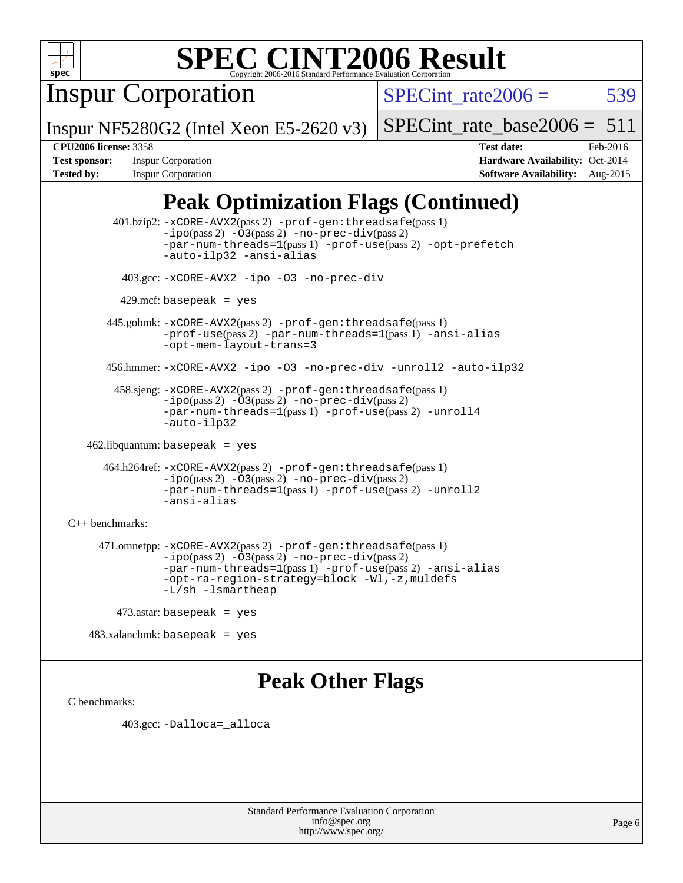

Inspur Corporation

SPECint rate $2006 = 539$ 

Inspur NF5280G2 (Intel Xeon E5-2620 v3)

[SPECint\\_rate\\_base2006 =](http://www.spec.org/auto/cpu2006/Docs/result-fields.html#SPECintratebase2006)  $511$ 

**[CPU2006 license:](http://www.spec.org/auto/cpu2006/Docs/result-fields.html#CPU2006license)** 3358 **[Test date:](http://www.spec.org/auto/cpu2006/Docs/result-fields.html#Testdate)** Feb-2016 **[Test sponsor:](http://www.spec.org/auto/cpu2006/Docs/result-fields.html#Testsponsor)** Inspur Corporation **[Hardware Availability:](http://www.spec.org/auto/cpu2006/Docs/result-fields.html#HardwareAvailability)** Oct-2014 **[Tested by:](http://www.spec.org/auto/cpu2006/Docs/result-fields.html#Testedby)** Inspur Corporation **[Software Availability:](http://www.spec.org/auto/cpu2006/Docs/result-fields.html#SoftwareAvailability)** Aug-2015

## **[Peak Optimization Flags \(Continued\)](http://www.spec.org/auto/cpu2006/Docs/result-fields.html#PeakOptimizationFlags)**

 401.bzip2: [-xCORE-AVX2](http://www.spec.org/cpu2006/results/res2016q1/cpu2006-20160307-39062.flags.html#user_peakPASS2_CFLAGSPASS2_LDCFLAGS401_bzip2_f-xAVX2_5f5fc0cbe2c9f62c816d3e45806c70d7)(pass 2) [-prof-gen:threadsafe](http://www.spec.org/cpu2006/results/res2016q1/cpu2006-20160307-39062.flags.html#user_peakPASS1_CFLAGSPASS1_LDCFLAGS401_bzip2_prof_gen_21a26eb79f378b550acd7bec9fe4467a)(pass 1)  $-i\text{po}(pass 2) -03(pass 2) -no-prec-div(pass 2)$  $-i\text{po}(pass 2) -03(pass 2) -no-prec-div(pass 2)$  $-i\text{po}(pass 2) -03(pass 2) -no-prec-div(pass 2)$ [-par-num-threads=1](http://www.spec.org/cpu2006/results/res2016q1/cpu2006-20160307-39062.flags.html#user_peakPASS1_CFLAGSPASS1_LDCFLAGS401_bzip2_par_num_threads_786a6ff141b4e9e90432e998842df6c2)(pass 1) [-prof-use](http://www.spec.org/cpu2006/results/res2016q1/cpu2006-20160307-39062.flags.html#user_peakPASS2_CFLAGSPASS2_LDCFLAGS401_bzip2_prof_use_bccf7792157ff70d64e32fe3e1250b55)(pass 2) [-opt-prefetch](http://www.spec.org/cpu2006/results/res2016q1/cpu2006-20160307-39062.flags.html#user_peakCOPTIMIZE401_bzip2_f-opt-prefetch) [-auto-ilp32](http://www.spec.org/cpu2006/results/res2016q1/cpu2006-20160307-39062.flags.html#user_peakCOPTIMIZE401_bzip2_f-auto-ilp32) [-ansi-alias](http://www.spec.org/cpu2006/results/res2016q1/cpu2006-20160307-39062.flags.html#user_peakCOPTIMIZE401_bzip2_f-ansi-alias) 403.gcc: [-xCORE-AVX2](http://www.spec.org/cpu2006/results/res2016q1/cpu2006-20160307-39062.flags.html#user_peakCOPTIMIZE403_gcc_f-xAVX2_5f5fc0cbe2c9f62c816d3e45806c70d7) [-ipo](http://www.spec.org/cpu2006/results/res2016q1/cpu2006-20160307-39062.flags.html#user_peakCOPTIMIZE403_gcc_f-ipo) [-O3](http://www.spec.org/cpu2006/results/res2016q1/cpu2006-20160307-39062.flags.html#user_peakCOPTIMIZE403_gcc_f-O3) [-no-prec-div](http://www.spec.org/cpu2006/results/res2016q1/cpu2006-20160307-39062.flags.html#user_peakCOPTIMIZE403_gcc_f-no-prec-div)  $429$ .mcf: basepeak = yes 445.gobmk: [-xCORE-AVX2](http://www.spec.org/cpu2006/results/res2016q1/cpu2006-20160307-39062.flags.html#user_peakPASS2_CFLAGSPASS2_LDCFLAGS445_gobmk_f-xAVX2_5f5fc0cbe2c9f62c816d3e45806c70d7)(pass 2) [-prof-gen:threadsafe](http://www.spec.org/cpu2006/results/res2016q1/cpu2006-20160307-39062.flags.html#user_peakPASS1_CFLAGSPASS1_LDCFLAGS445_gobmk_prof_gen_21a26eb79f378b550acd7bec9fe4467a)(pass 1) [-prof-use](http://www.spec.org/cpu2006/results/res2016q1/cpu2006-20160307-39062.flags.html#user_peakPASS2_CFLAGSPASS2_LDCFLAGS445_gobmk_prof_use_bccf7792157ff70d64e32fe3e1250b55)(pass 2) [-par-num-threads=1](http://www.spec.org/cpu2006/results/res2016q1/cpu2006-20160307-39062.flags.html#user_peakPASS1_CFLAGSPASS1_LDCFLAGS445_gobmk_par_num_threads_786a6ff141b4e9e90432e998842df6c2)(pass 1) [-ansi-alias](http://www.spec.org/cpu2006/results/res2016q1/cpu2006-20160307-39062.flags.html#user_peakCOPTIMIZE445_gobmk_f-ansi-alias) [-opt-mem-layout-trans=3](http://www.spec.org/cpu2006/results/res2016q1/cpu2006-20160307-39062.flags.html#user_peakCOPTIMIZE445_gobmk_f-opt-mem-layout-trans_a7b82ad4bd7abf52556d4961a2ae94d5) 456.hmmer: [-xCORE-AVX2](http://www.spec.org/cpu2006/results/res2016q1/cpu2006-20160307-39062.flags.html#user_peakCOPTIMIZE456_hmmer_f-xAVX2_5f5fc0cbe2c9f62c816d3e45806c70d7) [-ipo](http://www.spec.org/cpu2006/results/res2016q1/cpu2006-20160307-39062.flags.html#user_peakCOPTIMIZE456_hmmer_f-ipo) [-O3](http://www.spec.org/cpu2006/results/res2016q1/cpu2006-20160307-39062.flags.html#user_peakCOPTIMIZE456_hmmer_f-O3) [-no-prec-div](http://www.spec.org/cpu2006/results/res2016q1/cpu2006-20160307-39062.flags.html#user_peakCOPTIMIZE456_hmmer_f-no-prec-div) [-unroll2](http://www.spec.org/cpu2006/results/res2016q1/cpu2006-20160307-39062.flags.html#user_peakCOPTIMIZE456_hmmer_f-unroll_784dae83bebfb236979b41d2422d7ec2) [-auto-ilp32](http://www.spec.org/cpu2006/results/res2016q1/cpu2006-20160307-39062.flags.html#user_peakCOPTIMIZE456_hmmer_f-auto-ilp32) 458.sjeng: [-xCORE-AVX2](http://www.spec.org/cpu2006/results/res2016q1/cpu2006-20160307-39062.flags.html#user_peakPASS2_CFLAGSPASS2_LDCFLAGS458_sjeng_f-xAVX2_5f5fc0cbe2c9f62c816d3e45806c70d7)(pass 2) [-prof-gen:threadsafe](http://www.spec.org/cpu2006/results/res2016q1/cpu2006-20160307-39062.flags.html#user_peakPASS1_CFLAGSPASS1_LDCFLAGS458_sjeng_prof_gen_21a26eb79f378b550acd7bec9fe4467a)(pass 1) [-ipo](http://www.spec.org/cpu2006/results/res2016q1/cpu2006-20160307-39062.flags.html#user_peakPASS2_CFLAGSPASS2_LDCFLAGS458_sjeng_f-ipo)(pass 2) [-O3](http://www.spec.org/cpu2006/results/res2016q1/cpu2006-20160307-39062.flags.html#user_peakPASS2_CFLAGSPASS2_LDCFLAGS458_sjeng_f-O3)(pass 2) [-no-prec-div](http://www.spec.org/cpu2006/results/res2016q1/cpu2006-20160307-39062.flags.html#user_peakPASS2_CFLAGSPASS2_LDCFLAGS458_sjeng_f-no-prec-div)(pass 2) [-par-num-threads=1](http://www.spec.org/cpu2006/results/res2016q1/cpu2006-20160307-39062.flags.html#user_peakPASS1_CFLAGSPASS1_LDCFLAGS458_sjeng_par_num_threads_786a6ff141b4e9e90432e998842df6c2)(pass 1) [-prof-use](http://www.spec.org/cpu2006/results/res2016q1/cpu2006-20160307-39062.flags.html#user_peakPASS2_CFLAGSPASS2_LDCFLAGS458_sjeng_prof_use_bccf7792157ff70d64e32fe3e1250b55)(pass 2) [-unroll4](http://www.spec.org/cpu2006/results/res2016q1/cpu2006-20160307-39062.flags.html#user_peakCOPTIMIZE458_sjeng_f-unroll_4e5e4ed65b7fd20bdcd365bec371b81f) [-auto-ilp32](http://www.spec.org/cpu2006/results/res2016q1/cpu2006-20160307-39062.flags.html#user_peakCOPTIMIZE458_sjeng_f-auto-ilp32) 462.libquantum: basepeak = yes 464.h264ref: [-xCORE-AVX2](http://www.spec.org/cpu2006/results/res2016q1/cpu2006-20160307-39062.flags.html#user_peakPASS2_CFLAGSPASS2_LDCFLAGS464_h264ref_f-xAVX2_5f5fc0cbe2c9f62c816d3e45806c70d7)(pass 2) [-prof-gen:threadsafe](http://www.spec.org/cpu2006/results/res2016q1/cpu2006-20160307-39062.flags.html#user_peakPASS1_CFLAGSPASS1_LDCFLAGS464_h264ref_prof_gen_21a26eb79f378b550acd7bec9fe4467a)(pass 1) [-ipo](http://www.spec.org/cpu2006/results/res2016q1/cpu2006-20160307-39062.flags.html#user_peakPASS2_CFLAGSPASS2_LDCFLAGS464_h264ref_f-ipo)(pass 2) [-O3](http://www.spec.org/cpu2006/results/res2016q1/cpu2006-20160307-39062.flags.html#user_peakPASS2_CFLAGSPASS2_LDCFLAGS464_h264ref_f-O3)(pass 2) [-no-prec-div](http://www.spec.org/cpu2006/results/res2016q1/cpu2006-20160307-39062.flags.html#user_peakPASS2_CFLAGSPASS2_LDCFLAGS464_h264ref_f-no-prec-div)(pass 2) [-par-num-threads=1](http://www.spec.org/cpu2006/results/res2016q1/cpu2006-20160307-39062.flags.html#user_peakPASS1_CFLAGSPASS1_LDCFLAGS464_h264ref_par_num_threads_786a6ff141b4e9e90432e998842df6c2)(pass 1) [-prof-use](http://www.spec.org/cpu2006/results/res2016q1/cpu2006-20160307-39062.flags.html#user_peakPASS2_CFLAGSPASS2_LDCFLAGS464_h264ref_prof_use_bccf7792157ff70d64e32fe3e1250b55)(pass 2) [-unroll2](http://www.spec.org/cpu2006/results/res2016q1/cpu2006-20160307-39062.flags.html#user_peakCOPTIMIZE464_h264ref_f-unroll_784dae83bebfb236979b41d2422d7ec2) [-ansi-alias](http://www.spec.org/cpu2006/results/res2016q1/cpu2006-20160307-39062.flags.html#user_peakCOPTIMIZE464_h264ref_f-ansi-alias) [C++ benchmarks:](http://www.spec.org/auto/cpu2006/Docs/result-fields.html#CXXbenchmarks) 471.omnetpp: [-xCORE-AVX2](http://www.spec.org/cpu2006/results/res2016q1/cpu2006-20160307-39062.flags.html#user_peakPASS2_CXXFLAGSPASS2_LDCXXFLAGS471_omnetpp_f-xAVX2_5f5fc0cbe2c9f62c816d3e45806c70d7)(pass 2) [-prof-gen:threadsafe](http://www.spec.org/cpu2006/results/res2016q1/cpu2006-20160307-39062.flags.html#user_peakPASS1_CXXFLAGSPASS1_LDCXXFLAGS471_omnetpp_prof_gen_21a26eb79f378b550acd7bec9fe4467a)(pass 1)  $-ipo(pass 2) -\overline{03(pass 2)}$  $-ipo(pass 2) -\overline{03(pass 2)}$  [-no-prec-div](http://www.spec.org/cpu2006/results/res2016q1/cpu2006-20160307-39062.flags.html#user_peakPASS2_CXXFLAGSPASS2_LDCXXFLAGS471_omnetpp_f-no-prec-div)(pass 2) [-par-num-threads=1](http://www.spec.org/cpu2006/results/res2016q1/cpu2006-20160307-39062.flags.html#user_peakPASS1_CXXFLAGSPASS1_LDCXXFLAGS471_omnetpp_par_num_threads_786a6ff141b4e9e90432e998842df6c2)(pass 1) [-prof-use](http://www.spec.org/cpu2006/results/res2016q1/cpu2006-20160307-39062.flags.html#user_peakPASS2_CXXFLAGSPASS2_LDCXXFLAGS471_omnetpp_prof_use_bccf7792157ff70d64e32fe3e1250b55)(pass 2) [-ansi-alias](http://www.spec.org/cpu2006/results/res2016q1/cpu2006-20160307-39062.flags.html#user_peakCXXOPTIMIZE471_omnetpp_f-ansi-alias) [-opt-ra-region-strategy=block](http://www.spec.org/cpu2006/results/res2016q1/cpu2006-20160307-39062.flags.html#user_peakCXXOPTIMIZE471_omnetpp_f-opt-ra-region-strategy_a0a37c372d03933b2a18d4af463c1f69) [-Wl,-z,muldefs](http://www.spec.org/cpu2006/results/res2016q1/cpu2006-20160307-39062.flags.html#user_peakEXTRA_LDFLAGS471_omnetpp_link_force_multiple1_74079c344b956b9658436fd1b6dd3a8a) [-L/sh -lsmartheap](http://www.spec.org/cpu2006/results/res2016q1/cpu2006-20160307-39062.flags.html#user_peakEXTRA_LIBS471_omnetpp_SmartHeap_32f6c82aa1ed9c52345d30cf6e4a0499) 473.astar: basepeak = yes

483.xalancbmk: basepeak = yes

## **[Peak Other Flags](http://www.spec.org/auto/cpu2006/Docs/result-fields.html#PeakOtherFlags)**

[C benchmarks](http://www.spec.org/auto/cpu2006/Docs/result-fields.html#Cbenchmarks):

403.gcc: [-Dalloca=\\_alloca](http://www.spec.org/cpu2006/results/res2016q1/cpu2006-20160307-39062.flags.html#b403.gcc_peakEXTRA_CFLAGS_Dalloca_be3056838c12de2578596ca5467af7f3)